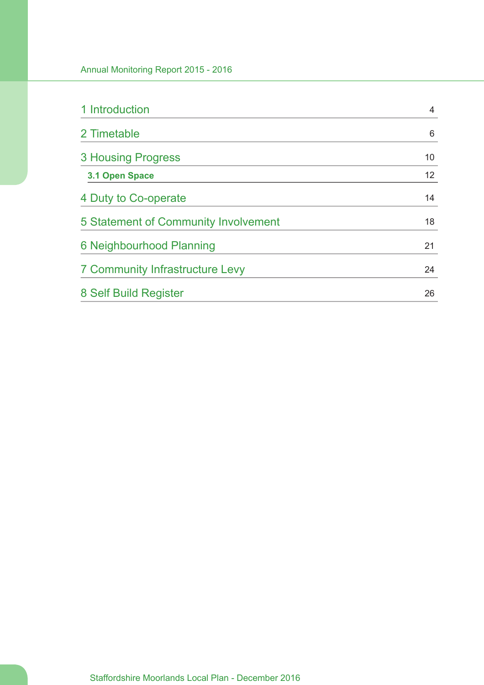| 1 Introduction                         | 4  |
|----------------------------------------|----|
| 2 Timetable                            | 6  |
| <b>3 Housing Progress</b>              | 10 |
| 3.1 Open Space                         | 12 |
| 4 Duty to Co-operate                   | 14 |
| 5 Statement of Community Involvement   | 18 |
| 6 Neighbourhood Planning               | 21 |
| <b>7 Community Infrastructure Levy</b> | 24 |
| 8 Self Build Register                  | 26 |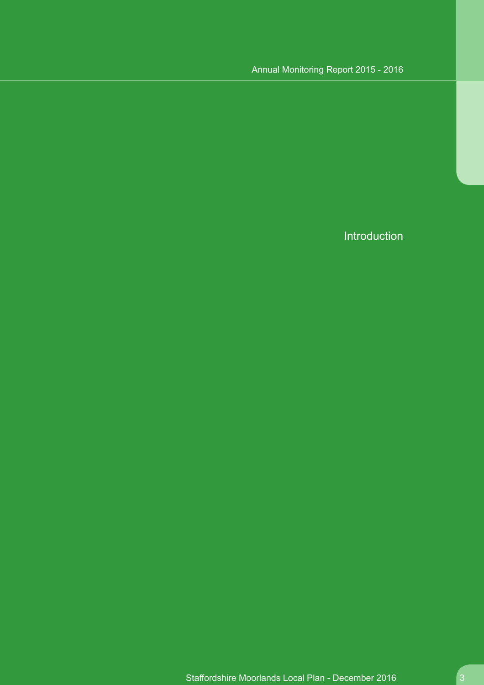Introduction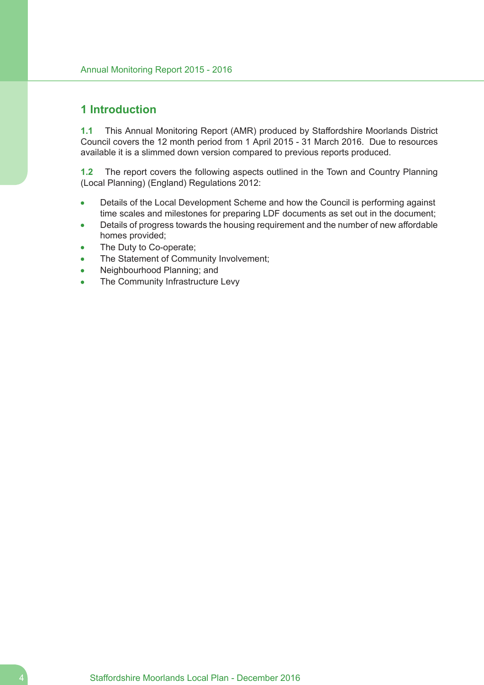## **1 Introduction**

**1.1** This Annual Monitoring Report (AMR) produced by Staffordshire Moorlands District Council covers the 12 month period from 1 April 2015 - 31 March 2016. Due to resources available it is a slimmed down version compared to previous reports produced.

**1.2** The report covers the following aspects outlined in the Town and Country Planning (Local Planning) (England) Regulations 2012:

- Details of the Local Development Scheme and how the Council is performing against  $\bullet$ time scales and milestones for preparing LDF documents as set out in the document;
- Details of progress towards the housing requirement and the number of new affordable homes provided;
- The Duty to Co-operate;
- The Statement of Community Involvement;
- Neighbourhood Planning; and
- The Community Infrastructure Levy  $\bullet$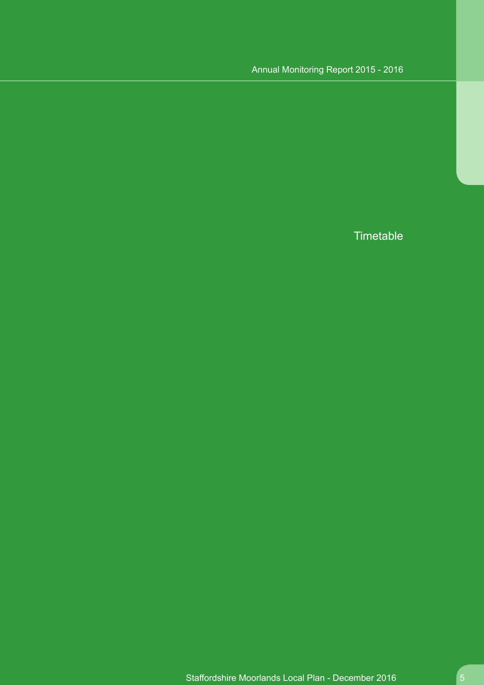**Timetable**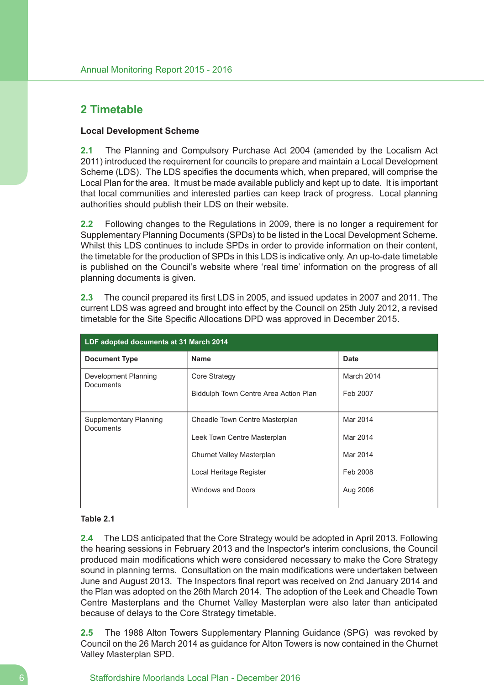# **2 Timetable**

## **Local Development Scheme**

**2.1** The Planning and Compulsory Purchase Act 2004 (amended by the Localism Act 2011) introduced the requirement for councils to prepare and maintain a Local Development Scheme (LDS). The LDS specifies the documents which, when prepared, will comprise the Local Plan for the area. It must be made available publicly and kept up to date. It is important that local communities and interested parties can keep track of progress. Local planning authorities should publish their LDS on their website.

**2.2** Following changes to the Regulations in 2009, there is no longer a requirement for Supplementary Planning Documents (SPDs) to be listed in the Local Development Scheme. Whilst this LDS continues to include SPDs in order to provide information on their content, the timetable for the production of SPDs in this LDS is indicative only. An up-to-date timetable is published on the Council's website where 'real time' information on the progress of all planning documents is given.

**2.3** The council prepared its first LDS in 2005, and issued updates in 2007 and 2011. The current LDS was agreed and brought into effect by the Council on 25th July 2012, a revised timetable for the Site Specific Allocations DPD was approved in December 2015.

| LDF adopted documents at 31 March 2014     |                                       |             |  |  |  |  |
|--------------------------------------------|---------------------------------------|-------------|--|--|--|--|
| <b>Document Type</b>                       | <b>Name</b>                           | <b>Date</b> |  |  |  |  |
| Development Planning<br><b>Documents</b>   | Core Strategy                         | March 2014  |  |  |  |  |
|                                            | Biddulph Town Centre Area Action Plan | Feb 2007    |  |  |  |  |
|                                            |                                       |             |  |  |  |  |
| Supplementary Planning<br><b>Documents</b> | Cheadle Town Centre Masterplan        | Mar 2014    |  |  |  |  |
|                                            | Leek Town Centre Masterplan           | Mar 2014    |  |  |  |  |
|                                            | Churnet Valley Masterplan             | Mar 2014    |  |  |  |  |
|                                            | Local Heritage Register               | Feb 2008    |  |  |  |  |
|                                            | Windows and Doors                     | Aug 2006    |  |  |  |  |
|                                            |                                       |             |  |  |  |  |

### **Table 2.1**

**2.4** The LDS anticipated that the Core Strategy would be adopted in April 2013. Following the hearing sessions in February 2013 and the Inspector's interim conclusions, the Council produced main modifications which were considered necessary to make the Core Strategy sound in planning terms. Consultation on the main modifications were undertaken between June and August 2013. The Inspectors final report was received on 2nd January 2014 and the Plan was adopted on the 26th March 2014. The adoption of the Leek and Cheadle Town Centre Masterplans and the Churnet Valley Masterplan were also later than anticipated because of delays to the Core Strategy timetable.

**2.5** The 1988 Alton Towers Supplementary Planning Guidance (SPG) was revoked by Council on the 26 March 2014 as guidance for Alton Towers is now contained in the Churnet Valley Masterplan SPD.

### 6 Staffordshire Moorlands Local Plan - December 2016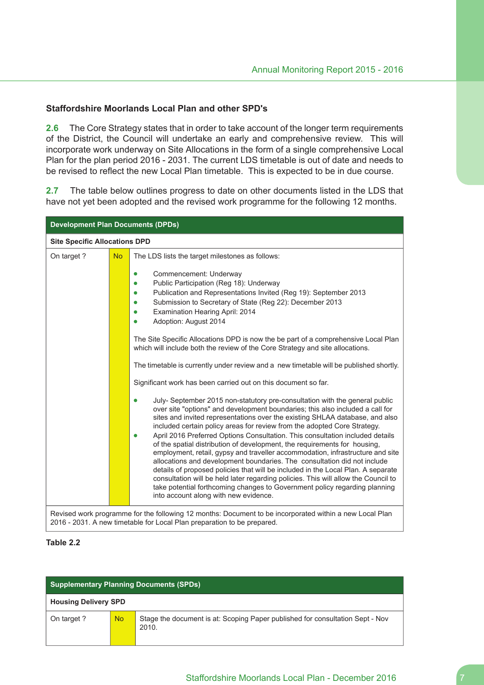## **Staffordshire Moorlands Local Plan and other SPD's**

**2.6** The Core Strategy states that in order to take account of the longer term requirements of the District, the Council will undertake an early and comprehensive review. This will incorporate work underway on Site Allocations in the form of a single comprehensive Local Plan for the plan period 2016 - 2031. The current LDS timetable is out of date and needs to be revised to reflect the new Local Plan timetable. This is expected to be in due course.

**2.7** The table below outlines progress to date on other documents listed in the LDS that have not yet been adopted and the revised work programme for the following 12 months.

| <b>Development Plan Documents (DPDs)</b> |           |                                                                                                                                                                                                                                                                                                                                                                                                                                                                                                                                                                                                                                                                                                                                                                                                                                                                                                                                                                                                                        |  |  |  |
|------------------------------------------|-----------|------------------------------------------------------------------------------------------------------------------------------------------------------------------------------------------------------------------------------------------------------------------------------------------------------------------------------------------------------------------------------------------------------------------------------------------------------------------------------------------------------------------------------------------------------------------------------------------------------------------------------------------------------------------------------------------------------------------------------------------------------------------------------------------------------------------------------------------------------------------------------------------------------------------------------------------------------------------------------------------------------------------------|--|--|--|
| <b>Site Specific Allocations DPD</b>     |           |                                                                                                                                                                                                                                                                                                                                                                                                                                                                                                                                                                                                                                                                                                                                                                                                                                                                                                                                                                                                                        |  |  |  |
| On target?                               | <b>No</b> | The LDS lists the target milestones as follows:<br>Commencement: Underway<br>Public Participation (Reg 18): Underway<br>Publication and Representations Invited (Reg 19): September 2013<br>Submission to Secretary of State (Reg 22): December 2013<br>Examination Hearing April: 2014<br>Adoption: August 2014                                                                                                                                                                                                                                                                                                                                                                                                                                                                                                                                                                                                                                                                                                       |  |  |  |
|                                          |           | The Site Specific Allocations DPD is now the be part of a comprehensive Local Plan<br>which will include both the review of the Core Strategy and site allocations.<br>The timetable is currently under review and a new timetable will be published shortly.                                                                                                                                                                                                                                                                                                                                                                                                                                                                                                                                                                                                                                                                                                                                                          |  |  |  |
|                                          |           | Significant work has been carried out on this document so far.<br>July-September 2015 non-statutory pre-consultation with the general public<br>over site "options" and development boundaries; this also included a call for<br>sites and invited representations over the existing SHLAA database, and also<br>included certain policy areas for review from the adopted Core Strategy.<br>April 2016 Preferred Options Consultation. This consultation included details<br>of the spatial distribution of development, the requirements for housing,<br>employment, retail, gypsy and traveller accommodation, infrastructure and site<br>allocations and development boundaries. The consultation did not include<br>details of proposed policies that will be included in the Local Plan. A separate<br>consultation will be held later regarding policies. This will allow the Council to<br>take potential forthcoming changes to Government policy regarding planning<br>into account along with new evidence. |  |  |  |
|                                          |           | Revised work programme for the following 12 months: Document to be incorporated within a new Local Plan<br>2016 - 2031. A new timetable for Local Plan preparation to be prepared.                                                                                                                                                                                                                                                                                                                                                                                                                                                                                                                                                                                                                                                                                                                                                                                                                                     |  |  |  |

#### **Table 2.2**

| <b>Supplementary Planning Documents (SPDs)</b> |           |                                                                                        |  |  |
|------------------------------------------------|-----------|----------------------------------------------------------------------------------------|--|--|
| <b>Housing Delivery SPD</b>                    |           |                                                                                        |  |  |
| On target?                                     | <b>No</b> | Stage the document is at: Scoping Paper published for consultation Sept - Nov<br>2010. |  |  |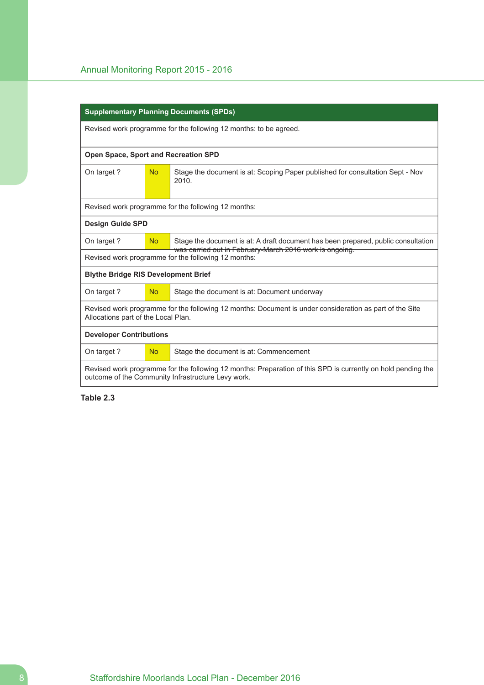|                                                                                                                                                                    | <b>Supplementary Planning Documents (SPDs)</b> |                                                                                                                |  |  |  |  |
|--------------------------------------------------------------------------------------------------------------------------------------------------------------------|------------------------------------------------|----------------------------------------------------------------------------------------------------------------|--|--|--|--|
|                                                                                                                                                                    |                                                | Revised work programme for the following 12 months: to be agreed.                                              |  |  |  |  |
| <b>Open Space, Sport and Recreation SPD</b>                                                                                                                        |                                                |                                                                                                                |  |  |  |  |
| On target?                                                                                                                                                         | <b>No</b>                                      | Stage the document is at: Scoping Paper published for consultation Sept - Nov<br>2010.                         |  |  |  |  |
|                                                                                                                                                                    |                                                | Revised work programme for the following 12 months:                                                            |  |  |  |  |
| <b>Design Guide SPD</b>                                                                                                                                            |                                                |                                                                                                                |  |  |  |  |
| On target?                                                                                                                                                         | <b>No</b>                                      | Stage the document is at: A draft document has been prepared, public consultation                              |  |  |  |  |
|                                                                                                                                                                    |                                                | was carried out in February-March 2016 work is ongoing.<br>Revised work programme for the following 12 months: |  |  |  |  |
| <b>Blythe Bridge RIS Development Brief</b>                                                                                                                         |                                                |                                                                                                                |  |  |  |  |
| On target?                                                                                                                                                         | No                                             | Stage the document is at: Document underway                                                                    |  |  |  |  |
| Revised work programme for the following 12 months: Document is under consideration as part of the Site<br>Allocations part of the Local Plan.                     |                                                |                                                                                                                |  |  |  |  |
| <b>Developer Contributions</b>                                                                                                                                     |                                                |                                                                                                                |  |  |  |  |
| On target?                                                                                                                                                         | <b>No</b>                                      | Stage the document is at: Commencement                                                                         |  |  |  |  |
| Revised work programme for the following 12 months: Preparation of this SPD is currently on hold pending the<br>outcome of the Community Infrastructure Levy work. |                                                |                                                                                                                |  |  |  |  |

**Table 2.3**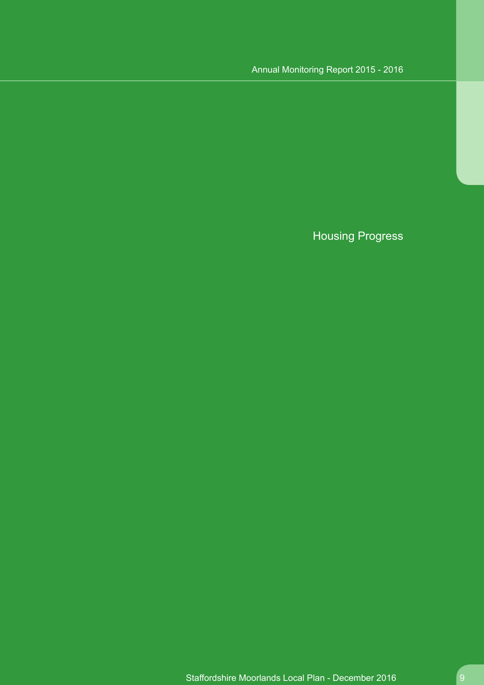# Housing Progress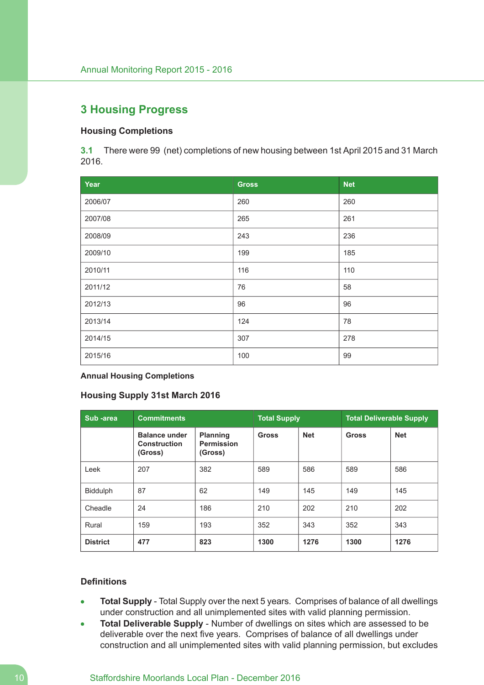# **3 Housing Progress**

## **Housing Completions**

**3.1** There were 99 (net) completions of new housing between 1st April 2015 and 31 March 2016.

| Year    | <b>Gross</b> | <b>Net</b> |
|---------|--------------|------------|
| 2006/07 | 260          | 260        |
| 2007/08 | 265          | 261        |
| 2008/09 | 243          | 236        |
| 2009/10 | 199          | 185        |
| 2010/11 | 116          | 110        |
| 2011/12 | 76           | 58         |
| 2012/13 | 96           | 96         |
| 2013/14 | 124          | 78         |
| 2014/15 | 307          | 278        |
| 2015/16 | 100          | 99         |

**Annual Housing Completions**

#### **Housing Supply 31st March 2016**

| Sub-area        | <b>Commitments</b>                                     | <b>Total Supply</b>                             |              | <b>Total Deliverable Supply</b> |              |            |
|-----------------|--------------------------------------------------------|-------------------------------------------------|--------------|---------------------------------|--------------|------------|
|                 | <b>Balance under</b><br><b>Construction</b><br>(Gross) | <b>Planning</b><br><b>Permission</b><br>(Gross) | <b>Gross</b> | <b>Net</b>                      | <b>Gross</b> | <b>Net</b> |
| Leek            | 207                                                    | 382                                             | 589          | 586                             | 589          | 586        |
| <b>Biddulph</b> | 87                                                     | 62                                              | 149          | 145                             | 149          | 145        |
| Cheadle         | 24                                                     | 186                                             | 210          | 202                             | 210          | 202        |
| Rural           | 159                                                    | 193                                             | 352          | 343                             | 352          | 343        |
| <b>District</b> | 477                                                    | 823                                             | 1300         | 1276                            | 1300         | 1276       |

#### **Definitions**

- **Total Supply** Total Supply over the next 5 years. Comprises of balance of all dwellings under construction and all unimplemented sites with valid planning permission.
- **Total Deliverable Supply** Number of dwellings on sites which are assessed to be  $\bullet$ deliverable over the next five years. Comprises of balance of all dwellings under construction and all unimplemented sites with valid planning permission, but excludes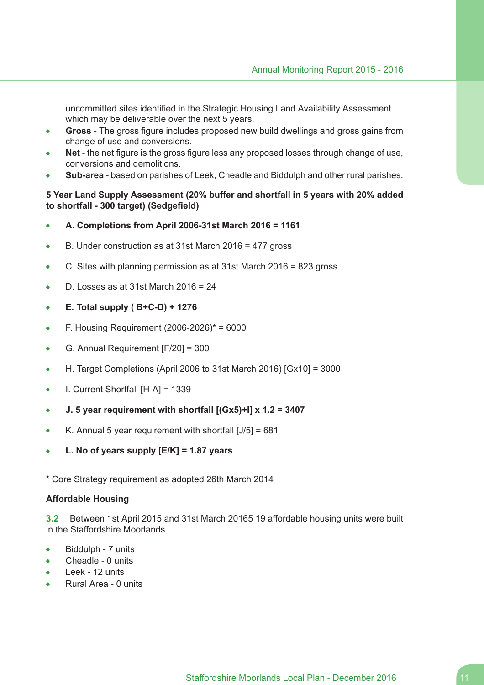uncommitted sites identified in the Strategic Housing Land Availability Assessment which may be deliverable over the next 5 years.

- **Gross** The gross figure includes proposed new build dwellings and gross gains from change of use and conversions.
- **Net** the net figure is the gross figure less any proposed losses through change of use, conversions and demolitions.
- **Sub-area** based on parishes of Leek, Cheadle and Biddulph and other rural parishes.

## **5 Year Land Supply Assessment (20% buffer and shortfall in 5 years with 20% added to shortfall - 300 target) (Sedgefield)**

- **A. Completions from April 2006-31st March 2016 = 1161**  $\bullet$
- B. Under construction as at 31st March 2016 = 477 gross  $\bullet$
- C. Sites with planning permission as at 31st March 2016 = 823 gross  $\bullet$
- D. Losses as at 31st March 2016 = 24  $\bullet$
- **E. Total supply ( B+C-D) + 1276**  $\bullet$
- F. Housing Requirement (2006-2026)\* = 6000  $\bullet$
- G. Annual Requirement [F/20] = 300  $\blacksquare$
- H. Target Completions (April 2006 to 31st March 2016) [Gx10] = 3000  $\bullet$
- I. Current Shortfall [H-A] = 1339  $\bullet$
- **J. 5 year requirement with shortfall [(Gx5)+I] x 1.2 = 3407**  $\bullet$
- K. Annual 5 year requirement with shortfall [J/5] = 681  $\bullet$
- **L. No of years supply [E/K] = 1.87 years**
- \* Core Strategy requirement as adopted 26th March 2014

## **Affordable Housing**

**3.2** Between 1st April 2015 and 31st March 20165 19 affordable housing units were built in the Staffordshire Moorlands.

- Biddulph 7 units
- Cheadle 0 units  $\blacksquare$
- Leek 12 units  $\blacksquare$
- Rural Area 0 units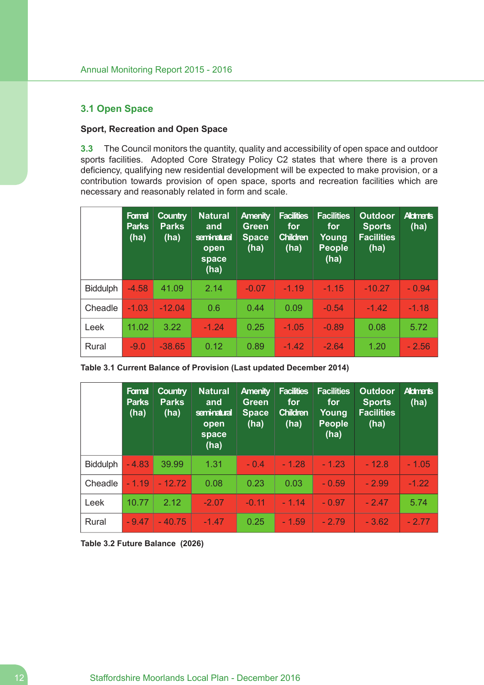## **3.1 Open Space**

## **Sport, Recreation and Open Space**

**3.3** The Council monitors the quantity, quality and accessibility of open space and outdoor sports facilities. Adopted Core Strategy Policy C2 states that where there is a proven deficiency, qualifying new residential development will be expected to make provision, or a contribution towards provision of open space, sports and recreation facilities which are necessary and reasonably related in form and scale.

|                 | Formal<br><b>Parks</b><br>(ha) | <b>Country</b><br><b>Parks</b><br>(ha) | <b>Natural</b><br>and<br>seminatural<br>open<br>space<br>(ha) | <b>Amenity</b><br><b>Green</b><br><b>Space</b><br>(ha) | <b>Facilities</b><br>for<br><b>Children</b><br>(ha) | <b>Facilities</b><br>for<br>Young<br><b>People</b><br>(ha) | <b>Outdoor</b><br><b>Sports</b><br><b>Facilities</b><br>(ha) | <b>Aldments</b><br>(ha) |
|-----------------|--------------------------------|----------------------------------------|---------------------------------------------------------------|--------------------------------------------------------|-----------------------------------------------------|------------------------------------------------------------|--------------------------------------------------------------|-------------------------|
| <b>Biddulph</b> | $-4.58$                        | 41.09                                  | 2.14                                                          | $-0.07$                                                | $-1.19$                                             | $-1.15$                                                    | $-10.27$                                                     | $-0.94$                 |
| Cheadle         | $-1.03$                        | $-12.04$                               | 0.6                                                           | 0.44                                                   | 0.09                                                | $-0.54$                                                    | $-1.42$                                                      | $-1.18$                 |
| Leek            | 11.02                          | 3.22                                   | $-1.24$                                                       | 0.25                                                   | $-1.05$                                             | $-0.89$                                                    | 0.08                                                         | 5.72                    |
| Rural           | $-9.0$                         | $-38.65$                               | 0.12                                                          | 0.89                                                   | $-1.42$                                             | $-2.64$                                                    | 1.20                                                         | $-2.56$                 |

|                 | Formal<br><b>Parks</b><br>(ha) | <b>Country</b><br><b>Parks</b><br>(ha) | <b>Natural</b><br>and<br>seminatural<br>open<br>space<br>(ha) | <b>Amenity</b><br><b>Green</b><br><b>Space</b><br>(ha) | <b>Facilities</b><br>for<br><b>Children</b><br>(ha) | <b>Facilities</b><br>for<br>Young<br><b>People</b><br>(ha) | <b>Outdoor</b><br><b>Sports</b><br><b>Facilities</b><br>(ha) | <b>Aldmants</b><br>(ha) |
|-----------------|--------------------------------|----------------------------------------|---------------------------------------------------------------|--------------------------------------------------------|-----------------------------------------------------|------------------------------------------------------------|--------------------------------------------------------------|-------------------------|
| <b>Biddulph</b> | $-4.83$                        | 39.99                                  | 1.31                                                          | $-0.4$                                                 | $-1.28$                                             | $-1.23$                                                    | $-12.8$                                                      | $-1.05$                 |
| Cheadle         | $-1.19$                        | $-12.72$                               | 0.08                                                          | 0.23                                                   | 0.03                                                | $-0.59$                                                    | $-2.99$                                                      | $-1.22$                 |
| Leek            | 10.77                          | 2.12                                   | $-2.07$                                                       | $-0.11$                                                | $-1.14$                                             | $-0.97$                                                    | $-2.47$                                                      | 5.74                    |
| Rural           | $-9.47$                        | $-40.75$                               | $-1.47$                                                       | 0.25                                                   | $-1.59$                                             | $-2.79$                                                    | $-3.62$                                                      | $-2.77$                 |

**Table 3.2 Future Balance (2026)**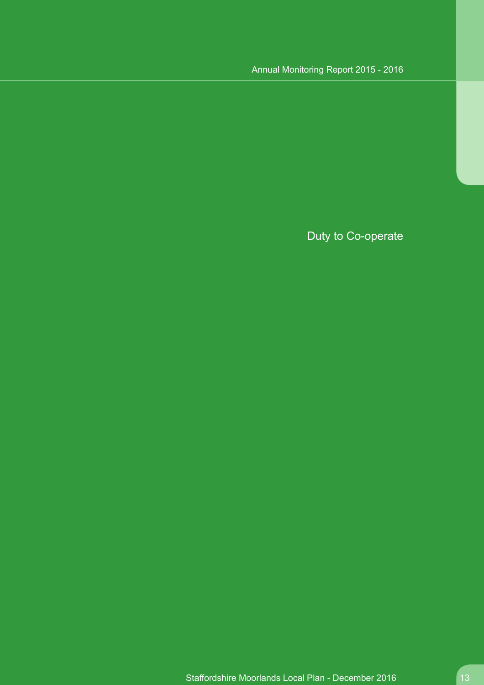# Duty to Co-operate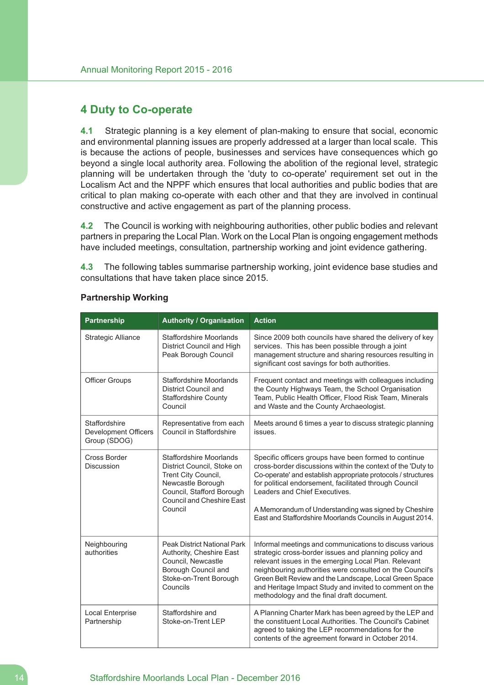## **4 Duty to Co-operate**

**4.1** Strategic planning is a key element of plan-making to ensure that social, economic and environmental planning issues are properly addressed at a larger than local scale. This is because the actions of people, businesses and services have consequences which go beyond a single local authority area. Following the abolition of the regional level, strategic planning will be undertaken through the 'duty to co-operate' requirement set out in the Localism Act and the NPPF which ensures that local authorities and public bodies that are critical to plan making co-operate with each other and that they are involved in continual constructive and active engagement as part of the planning process.

**4.2** The Council is working with neighbouring authorities, other public bodies and relevant partners in preparing the Local Plan. Work on the Local Plan is ongoing engagement methods have included meetings, consultation, partnership working and joint evidence gathering.

**4.3** The following tables summarise partnership working, joint evidence base studies and consultations that have taken place since 2015.

| <b>Partnership</b>                                           | <b>Authority / Organisation</b>                                                                                                                                                      | <b>Action</b>                                                                                                                                                                                                                                                                                                                                                                                          |
|--------------------------------------------------------------|--------------------------------------------------------------------------------------------------------------------------------------------------------------------------------------|--------------------------------------------------------------------------------------------------------------------------------------------------------------------------------------------------------------------------------------------------------------------------------------------------------------------------------------------------------------------------------------------------------|
| Strategic Alliance                                           | Staffordshire Moorlands<br>District Council and High<br>Peak Borough Council                                                                                                         | Since 2009 both councils have shared the delivery of key<br>services. This has been possible through a joint<br>management structure and sharing resources resulting in<br>significant cost savings for both authorities.                                                                                                                                                                              |
| <b>Officer Groups</b>                                        | <b>Staffordshire Moorlands</b><br>District Council and<br><b>Staffordshire County</b><br>Council                                                                                     | Frequent contact and meetings with colleagues including<br>the County Highways Team, the School Organisation<br>Team, Public Health Officer, Flood Risk Team, Minerals<br>and Waste and the County Archaeologist.                                                                                                                                                                                      |
| Staffordshire<br><b>Development Officers</b><br>Group (SDOG) | Representative from each<br>Council in Staffordshire                                                                                                                                 | Meets around 6 times a year to discuss strategic planning<br>issues.                                                                                                                                                                                                                                                                                                                                   |
| Cross Border<br><b>Discussion</b>                            | <b>Staffordshire Moorlands</b><br>District Council, Stoke on<br>Trent City Council,<br>Newcastle Borough<br>Council, Stafford Borough<br><b>Council and Cheshire East</b><br>Council | Specific officers groups have been formed to continue<br>cross-border discussions within the context of the 'Duty to<br>Co-operate' and establish appropriate protocols / structures<br>for political endorsement, facilitated through Council<br>Leaders and Chief Executives.<br>A Memorandum of Understanding was signed by Cheshire<br>East and Staffordshire Moorlands Councils in August 2014.   |
| Neighbouring<br>authorities                                  | <b>Peak District National Park</b><br>Authority, Cheshire East<br>Council, Newcastle<br>Borough Council and<br>Stoke-on-Trent Borough<br>Councils                                    | Informal meetings and communications to discuss various<br>strategic cross-border issues and planning policy and<br>relevant issues in the emerging Local Plan. Relevant<br>neighbouring authorities were consulted on the Council's<br>Green Belt Review and the Landscape, Local Green Space<br>and Heritage Impact Study and invited to comment on the<br>methodology and the final draft document. |
| Local Enterprise<br>Partnership                              | Staffordshire and<br>Stoke-on-Trent LEP                                                                                                                                              | A Planning Charter Mark has been agreed by the LEP and<br>the constituent Local Authorities. The Council's Cabinet<br>agreed to taking the LEP recommendations for the<br>contents of the agreement forward in October 2014.                                                                                                                                                                           |

### **Partnership Working**

## 14 Staffordshire Moorlands Local Plan - December 2016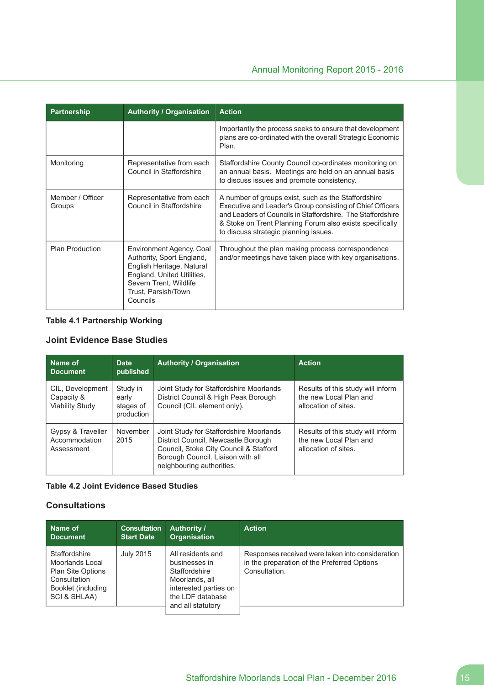| Partnership                | <b>Authority / Organisation</b>                                                                                                                                               | <b>Action</b>                                                                                                                                                                                                                                                                        |
|----------------------------|-------------------------------------------------------------------------------------------------------------------------------------------------------------------------------|--------------------------------------------------------------------------------------------------------------------------------------------------------------------------------------------------------------------------------------------------------------------------------------|
|                            |                                                                                                                                                                               | Importantly the process seeks to ensure that development<br>plans are co-ordinated with the overall Strategic Economic<br>Plan.                                                                                                                                                      |
| Monitoring                 | Representative from each<br>Council in Staffordshire                                                                                                                          | Staffordshire County Council co-ordinates monitoring on<br>an annual basis. Meetings are held on an annual basis<br>to discuss issues and promote consistency.                                                                                                                       |
| Member / Officer<br>Groups | Representative from each<br>Council in Staffordshire                                                                                                                          | A number of groups exist, such as the Staffordshire<br>Executive and Leader's Group consisting of Chief Officers<br>and Leaders of Councils in Staffordshire. The Staffordshire<br>& Stoke on Trent Planning Forum also exists specifically<br>to discuss strategic planning issues. |
| <b>Plan Production</b>     | Environment Agency, Coal<br>Authority, Sport England,<br>English Heritage, Natural<br>England, United Utilities,<br>Severn Trent, Wildlife<br>Trust, Parsish/Town<br>Councils | Throughout the plan making process correspondence<br>and/or meetings have taken place with key organisations.                                                                                                                                                                        |

## **Table 4.1 Partnership Working**

## **Joint Evidence Base Studies**

| Name of<br><b>Document</b>                        | <b>Date</b><br>published                     | <b>Authority / Organisation</b>                                                                                                                                                            | <b>Action</b>                                                                       |
|---------------------------------------------------|----------------------------------------------|--------------------------------------------------------------------------------------------------------------------------------------------------------------------------------------------|-------------------------------------------------------------------------------------|
| CIL, Development<br>Capacity &<br>Viability Study | Study in<br>early<br>stages of<br>production | Joint Study for Staffordshire Moorlands<br>District Council & High Peak Borough<br>Council (CIL element only).                                                                             | Results of this study will inform<br>the new Local Plan and<br>allocation of sites. |
| Gypsy & Traveller<br>Accommodation<br>Assessment  | November<br>2015                             | Joint Study for Staffordshire Moorlands<br>District Council, Newcastle Borough<br>Council, Stoke City Council & Stafford<br>Borough Council. Liaison with all<br>neighbouring authorities. | Results of this study will inform<br>the new Local Plan and<br>allocation of sites. |

## **Table 4.2 Joint Evidence Based Studies**

## **Consultations**

| Name of                                                                                                            | <b>Consultation</b> | <b>Authority /</b>                                                                                                                      | <b>Action</b>                                                                                                    |
|--------------------------------------------------------------------------------------------------------------------|---------------------|-----------------------------------------------------------------------------------------------------------------------------------------|------------------------------------------------------------------------------------------------------------------|
| <b>Document</b>                                                                                                    | <b>Start Date</b>   | <b>Organisation</b>                                                                                                                     |                                                                                                                  |
| Staffordshire<br>Moorlands Local<br><b>Plan Site Options</b><br>Consultation<br>Booklet (including<br>SCI & SHLAA) | <b>July 2015</b>    | All residents and<br>businesses in<br>Staffordshire<br>Moorlands, all<br>interested parties on<br>the LDF database<br>and all statutory | Responses received were taken into consideration<br>in the preparation of the Preferred Options<br>Consultation. |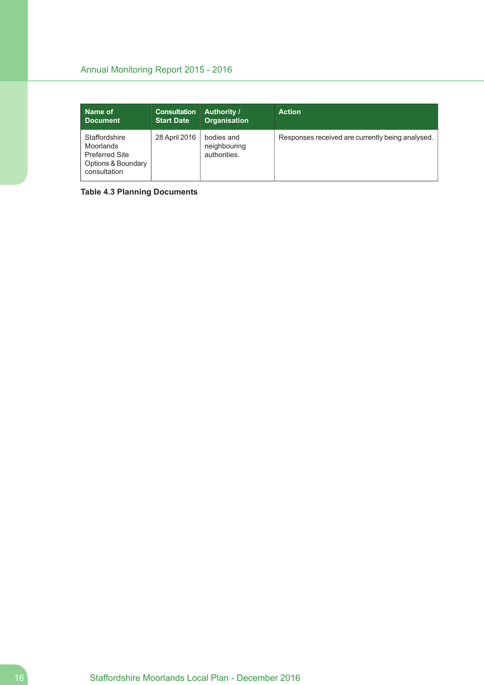| Name of                                                                                   | <b>Consultation</b> | <b>Authority /</b>                         | <b>Action</b>                                    |
|-------------------------------------------------------------------------------------------|---------------------|--------------------------------------------|--------------------------------------------------|
| <b>Document</b>                                                                           | <b>Start Date</b>   | <b>Organisation</b>                        |                                                  |
| Staffordshire<br>Moorlands<br><b>Preferred Site</b><br>Options & Boundary<br>consultation | 28 April 2016       | bodies and<br>neighbouring<br>authorities. | Responses received are currently being analysed. |

**Table 4.3 Planning Documents**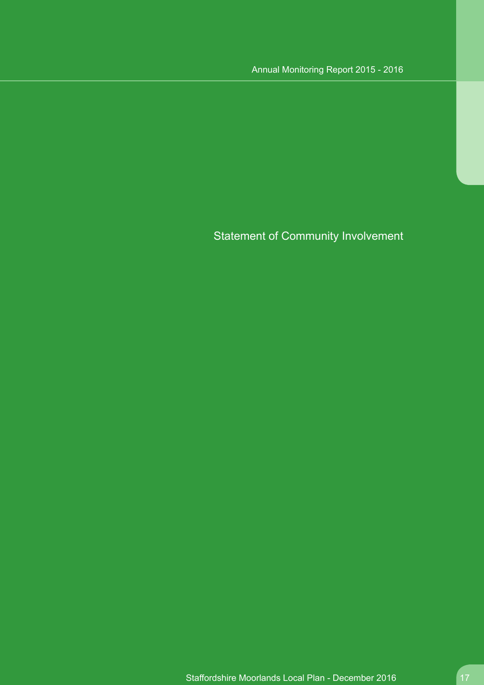Statement of Community Involvement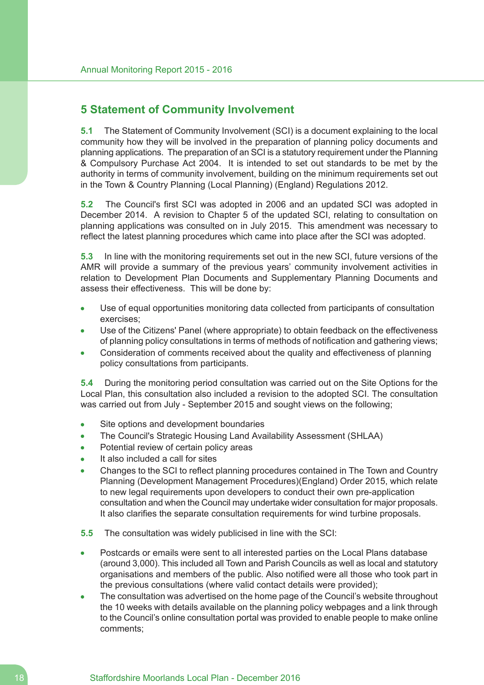## **5 Statement of Community Involvement**

**5.1** The Statement of Community Involvement (SCI) is a document explaining to the local community how they will be involved in the preparation of planning policy documents and planning applications. The preparation of an SCI is a statutory requirement under the Planning & Compulsory Purchase Act 2004. It is intended to set out standards to be met by the authority in terms of community involvement, building on the minimum requirements set out in the Town & Country Planning (Local Planning) (England) Regulations 2012.

**5.2** The Council's first SCI was adopted in 2006 and an updated SCI was adopted in December 2014. A revision to Chapter 5 of the updated SCI, relating to consultation on planning applications was consulted on in July 2015. This amendment was necessary to reflect the latest planning procedures which came into place after the SCI was adopted.

**5.3** In line with the monitoring requirements set out in the new SCI, future versions of the AMR will provide a summary of the previous years' community involvement activities in relation to Development Plan Documents and Supplementary Planning Documents and assess their effectiveness. This will be done by:

- Use of equal opportunities monitoring data collected from participants of consultation exercises;
- Use of the Citizens' Panel (where appropriate) to obtain feedback on the effectiveness of planning policy consultations in terms of methods of notification and gathering views;
- Consideration of comments received about the quality and effectiveness of planning policy consultations from participants.

**5.4** During the monitoring period consultation was carried out on the Site Options for the Local Plan, this consultation also included a revision to the adopted SCI. The consultation was carried out from July - September 2015 and sought views on the following;

- Site options and development boundaries  $\bullet$
- The Council's Strategic Housing Land Availability Assessment (SHLAA)
- Potential review of certain policy areas
- It also included a call for sites
- Changes to the SCI to reflect planning procedures contained in The Town and Country Planning (Development Management Procedures)(England) Order 2015, which relate to new legal requirements upon developers to conduct their own pre-application consultation and when the Council may undertake wider consultation for major proposals. It also clarifies the separate consultation requirements for wind turbine proposals.
- **5.5** The consultation was widely publicised in line with the SCI:
- Postcards or emails were sent to all interested parties on the Local Plans database (around 3,000). This included all Town and Parish Councils as well as local and statutory organisations and members of the public. Also notified were all those who took part in the previous consultations (where valid contact details were provided);
- The consultation was advertised on the home page of the Council's website throughout the 10 weeks with details available on the planning policy webpages and a link through to the Council's online consultation portal was provided to enable people to make online comments;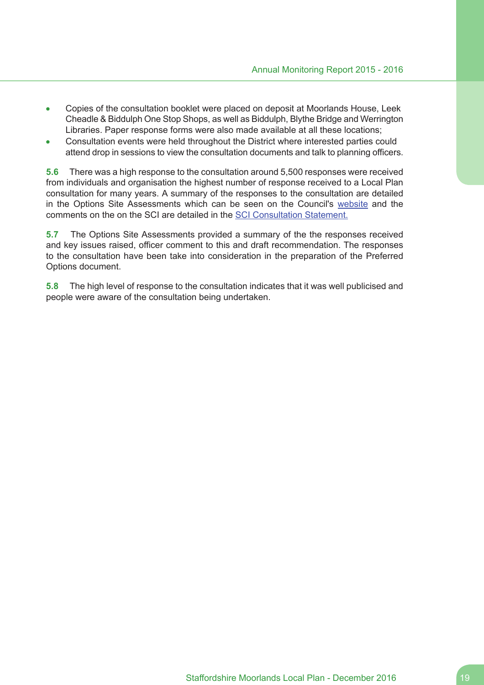- Copies of the consultation booklet were placed on deposit at Moorlands House, Leek  $\bullet$ Cheadle & Biddulph One Stop Shops, as well as Biddulph, Blythe Bridge and Werrington Libraries. Paper response forms were also made available at all these locations;
- Consultation events were held throughout the District where interested parties could attend drop in sessions to view the consultation documents and talk to planning officers.

**5.6** There was a high response to the consultation around 5,500 responses were received from individuals and organisation the highest number of response received to a Local Plan consultation for many years. A summary of the responses to the consultation are detailed in the Options Site Assessments which can be seen on the Council's website and the comments on the on the SCI are detailed in the SCI Consultation Statement.

**5.7** The Options Site Assessments provided a summary of the the responses received and key issues raised, officer comment to this and draft recommendation. The responses to the consultation have been take into consideration in the preparation of the Preferred Options document.

**5.8** The high level of response to the consultation indicates that it was well publicised and people were aware of the consultation being undertaken.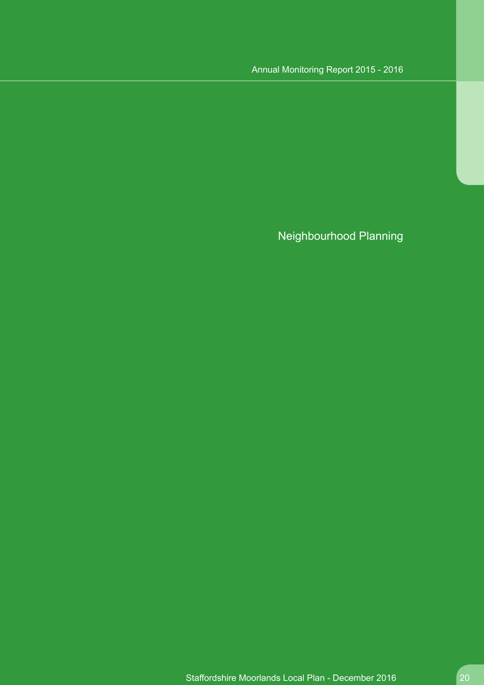Neighbourhood Planning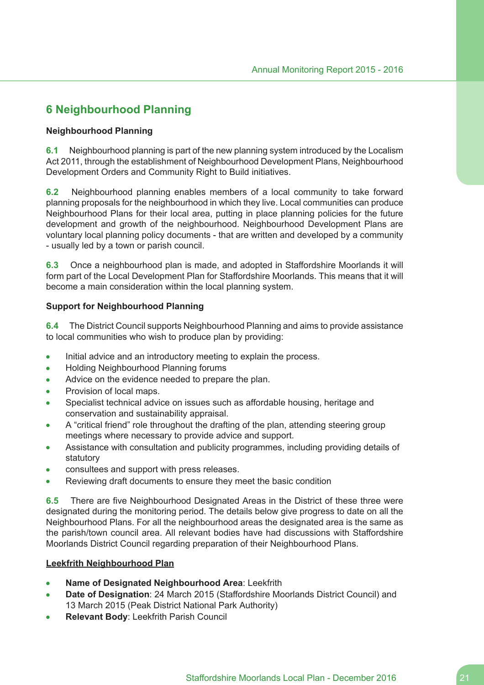# **6 Neighbourhood Planning**

## **Neighbourhood Planning**

**6.1** Neighbourhood planning is part of the new planning system introduced by the Localism Act 2011, through the establishment of Neighbourhood Development Plans, Neighbourhood Development Orders and Community Right to Build initiatives.

**6.2** Neighbourhood planning enables members of a local community to take forward planning proposals for the neighbourhood in which they live. Local communities can produce Neighbourhood Plans for their local area, putting in place planning policies for the future development and growth of the neighbourhood. Neighbourhood Development Plans are voluntary local planning policy documents - that are written and developed by a community - usually led by a town or parish council.

**6.3** Once a neighbourhood plan is made, and adopted in Staffordshire Moorlands it will form part of the Local Development Plan for Staffordshire Moorlands. This means that it will become a main consideration within the local planning system.

## **Support for Neighbourhood Planning**

**6.4** The District Council supports Neighbourhood Planning and aims to provide assistance to local communities who wish to produce plan by providing:

- Initial advice and an introductory meeting to explain the process.  $\bullet$
- Holding Neighbourhood Planning forums  $\bullet$
- Advice on the evidence needed to prepare the plan.  $\bullet$
- Provision of local maps.
- Specialist technical advice on issues such as affordable housing, heritage and conservation and sustainability appraisal.
- A "critical friend" role throughout the drafting of the plan, attending steering group meetings where necessary to provide advice and support.
- Assistance with consultation and publicity programmes, including providing details of statutory
- consultees and support with press releases.
- Reviewing draft documents to ensure they meet the basic condition  $\bullet$

**6.5** There are five Neighbourhood Designated Areas in the District of these three were designated during the monitoring period. The details below give progress to date on all the Neighbourhood Plans. For all the neighbourhood areas the designated area is the same as the parish/town council area. All relevant bodies have had discussions with Staffordshire Moorlands District Council regarding preparation of their Neighbourhood Plans.

### **Leekfrith Neighbourhood Plan**

- $\bullet$ **Name of Designated Neighbourhood Area**: Leekfrith
- **Date of Designation**: 24 March 2015 (Staffordshire Moorlands District Council) and 13 March 2015 (Peak District National Park Authority)
- **Relevant Body**: Leekfrith Parish Council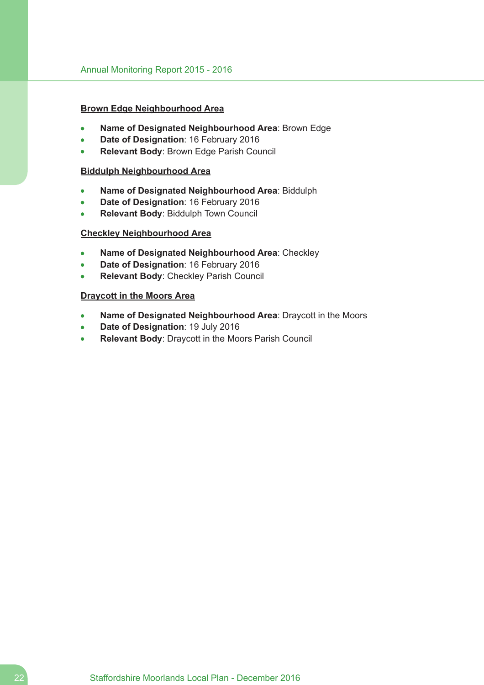### **Brown Edge Neighbourhood Area**

- **Name of Designated Neighbourhood Area**: Brown Edge
- **Date of Designation**: 16 February 2016
- **Relevant Body**: Brown Edge Parish Council  $\blacksquare$

### **Biddulph Neighbourhood Area**

- **Name of Designated Neighbourhood Area**: Biddulph  $\bullet$
- **Date of Designation**: 16 February 2016
- **Relevant Body**: Biddulph Town Council

#### **Checkley Neighbourhood Area**

- **Name of Designated Neighbourhood Area**: Checkley
- **Date of Designation**: 16 February 2016
- **Relevant Body**: Checkley Parish Council

## **Draycott in the Moors Area**

- **Name of Designated Neighbourhood Area**: Draycott in the Moors  $\bullet$
- **Date of Designation**: 19 July 2016  $\bullet$
- **Relevant Body**: Draycott in the Moors Parish Council  $\bullet$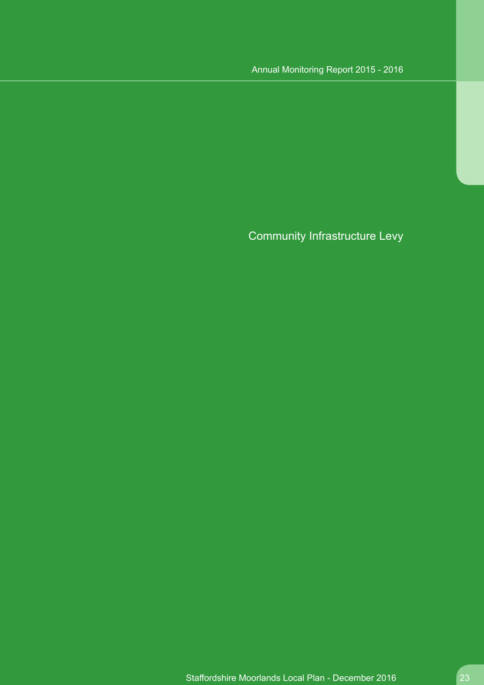# Community Infrastructure Levy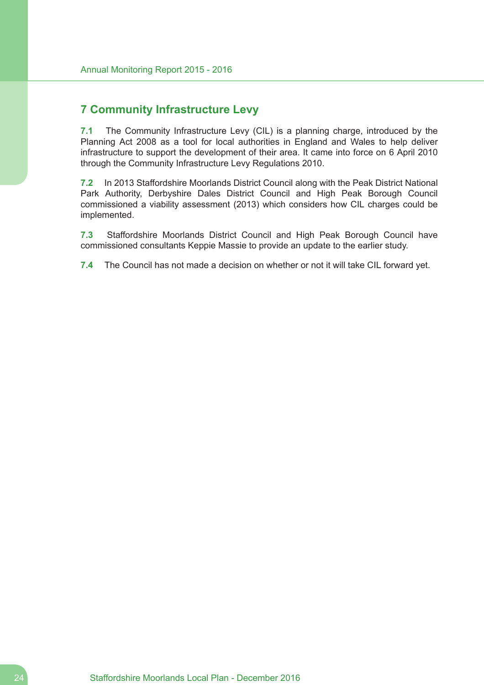# **7 Community Infrastructure Levy**

**7.1** The Community Infrastructure Levy (CIL) is a planning charge, introduced by the Planning Act 2008 as a tool for local authorities in England and Wales to help deliver infrastructure to support the development of their area. It came into force on 6 April 2010 through the Community Infrastructure Levy Regulations 2010.

**7.2** In 2013 Staffordshire Moorlands District Council along with the Peak District National Park Authority, Derbyshire Dales District Council and High Peak Borough Council commissioned a viability assessment (2013) which considers how CIL charges could be implemented.

**7.3** Staffordshire Moorlands District Council and High Peak Borough Council have commissioned consultants Keppie Massie to provide an update to the earlier study.

**7.4** The Council has not made a decision on whether or not it will take CIL forward yet.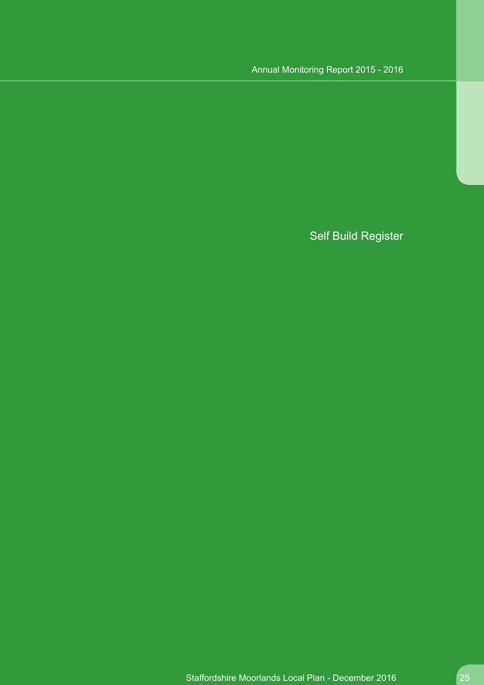# Self Build Register